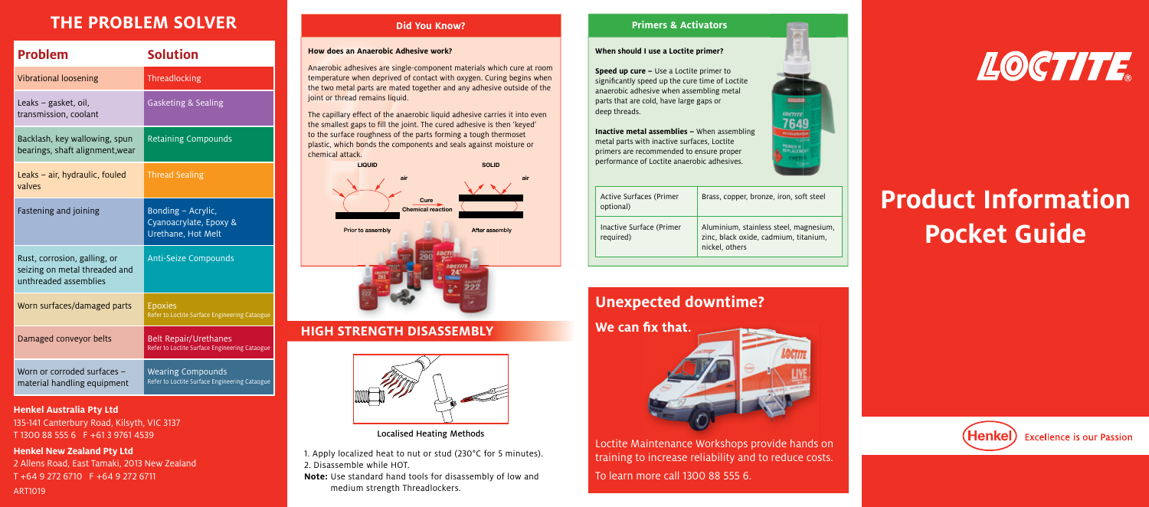# **THE PROBLEM SOLVER**

| <b>Problem</b>                                                                         | <b>Solution</b>                                                               |
|----------------------------------------------------------------------------------------|-------------------------------------------------------------------------------|
| <b>Vibrational loosening</b>                                                           | Threadlocking                                                                 |
| Leaks – gasket, oil,<br>transmission, coolant                                          | <b>Gasketing &amp; Sealing</b>                                                |
| Backlash, key wallowing, spun<br>bearings, shaft alignment, wear                       | <b>Retaining Compounds</b>                                                    |
| Leaks - air, hydraulic, fouled<br>valves                                               | <b>Thread Sealing</b>                                                         |
| Fastening and joining                                                                  | Bonding - Acrylic,<br>Cyanoacrylate, Epoxy &<br>Urethane, Hot Melt            |
| Rust, corrosion, galling, or<br>seizing on metal threaded and<br>unthreaded assemblies | <b>Anti-Seize Compounds</b>                                                   |
| Worn surfaces/damaged parts                                                            | <b>Epoxies</b><br>Refer to Loctite Surface Engineering Cataogue               |
| Damaged conveyor belts                                                                 | <b>Belt Repair/Urethanes</b><br>Refer to Loctite Surface Engineering Cataogue |
| Worn or corroded surfaces -<br>material handling equipment                             | <b>Wearing Compounds</b><br>Refer to Loctite Surface Engineering Cataogue     |

#### **Henkel Australia Pty Ltd**

135-141 Canterbury Road, Kilsyth, VIC 3137 T 1300 88 555 6 F +61 3 9761 4539

**Henkel New Zealand Pty Ltd**

ART1019

2 Allens Road, East Tamaki, 2013 New Zealand T +64 9 272 6710 F +64 9 272 6711

# **Did You Know?**

## **How does an Anaerobic Adhesive work?**

Anaerobic adhesives are single-component materials which cure at room temperature when deprived of contact with oxygen. Curing begins when the two metal parts are mated together and any adhesive outside of the joint or thread remains liquid.

The capillary effect of the anaerobic liquid adhesive carries it into even the smallest gaps to fill the joint. The cured adhesive is then 'keyed' to the surface roughness of the parts forming a tough thermoset plastic, which bonds the components and seals against moisture or chemical attack.



# **HIGH STRENGTH DISASSEMBLY**



Localised Heating Methods

1. Apply localized heat to nut or stud (230°C for 5 minutes). 2. Disassemble while HOT.

**Note:** Use standard hand tools for disassembly of low and medium strength Threadlockers.

# **Primers & Activators**

## **When should I use a Loctite primer?**

**Speed up cure –** Use a Loctite primer to significantly speed up the cure time of Loctite anaerobic adhesive when assembling metal parts that are cold, have large gaps or deep threads.

**Inactive metal assemblies –** When assembling metal parts with inactive surfaces, Loctite primers are recommended to ensure proper performance of Loctite anaerobic adhesives.

| Active Surfaces (Primer<br>optional)  | Brass, copper, bronze, iron, soft steel                                                           |
|---------------------------------------|---------------------------------------------------------------------------------------------------|
| Inactive Surface (Primer<br>required) | Aluminium, stainless steel, magnesium,<br>zinc, black oxide, cadmium, titanium,<br>nickel, others |



Loctite Maintenance Workshops provide hands on training to increase reliability and to reduce costs. To learn more call 1300 88 555 6.



LOCTITE

# **Product Information Pocket Guide**